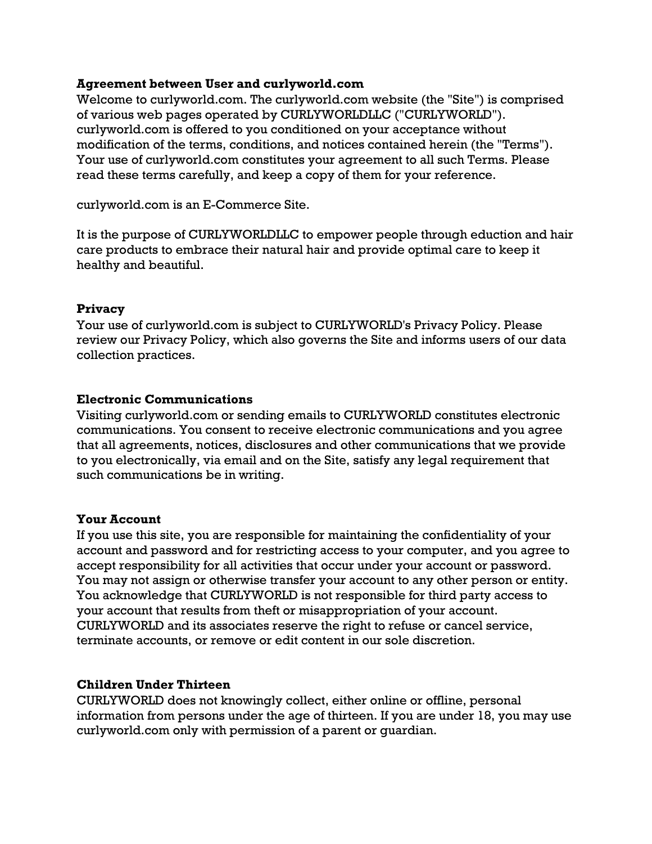### **Agreement between User and curlyworld.com**

Welcome to curlyworld.com. The curlyworld.com website (the "Site") is comprised of various web pages operated by CURLYWORLDLLC ("CURLYWORLD"). curlyworld.com is offered to you conditioned on your acceptance without modification of the terms, conditions, and notices contained herein (the "Terms"). Your use of curlyworld.com constitutes your agreement to all such Terms. Please read these terms carefully, and keep a copy of them for your reference.

curlyworld.com is an E-Commerce Site.

It is the purpose of CURLYWORLDLLC to empower people through eduction and hair care products to embrace their natural hair and provide optimal care to keep it healthy and beautiful.

### **Privacy**

Your use of curlyworld.com is subject to CURLYWORLD's Privacy Policy. Please review our Privacy Policy, which also governs the Site and informs users of our data collection practices.

## **Electronic Communications**

Visiting curlyworld.com or sending emails to CURLYWORLD constitutes electronic communications. You consent to receive electronic communications and you agree that all agreements, notices, disclosures and other communications that we provide to you electronically, via email and on the Site, satisfy any legal requirement that such communications be in writing.

## **Your Account**

If you use this site, you are responsible for maintaining the confidentiality of your account and password and for restricting access to your computer, and you agree to accept responsibility for all activities that occur under your account or password. You may not assign or otherwise transfer your account to any other person or entity. You acknowledge that CURLYWORLD is not responsible for third party access to your account that results from theft or misappropriation of your account. CURLYWORLD and its associates reserve the right to refuse or cancel service, terminate accounts, or remove or edit content in our sole discretion.

## **Children Under Thirteen**

CURLYWORLD does not knowingly collect, either online or offline, personal information from persons under the age of thirteen. If you are under 18, you may use curlyworld.com only with permission of a parent or guardian.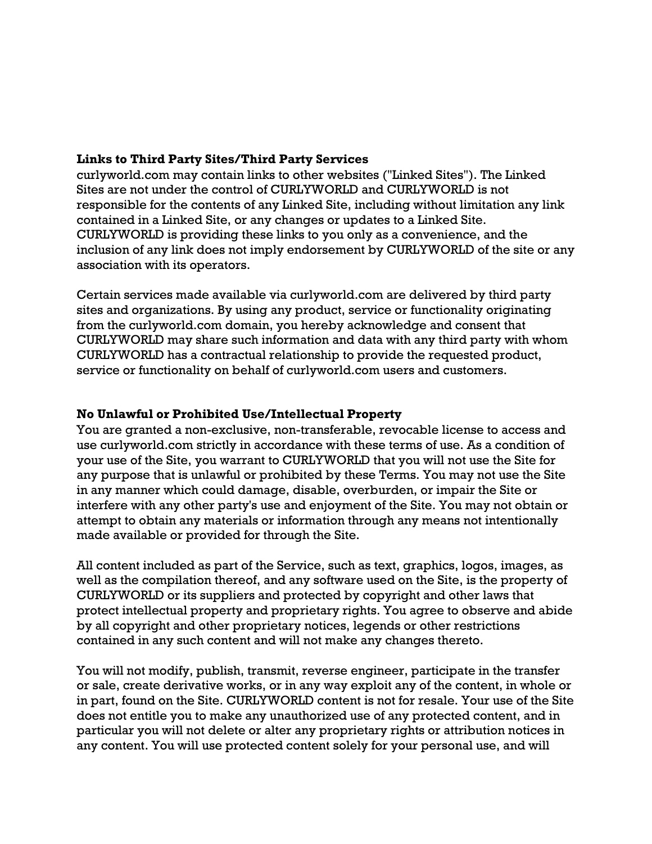#### **Links to Third Party Sites/Third Party Services**

curlyworld.com may contain links to other websites ("Linked Sites"). The Linked Sites are not under the control of CURLYWORLD and CURLYWORLD is not responsible for the contents of any Linked Site, including without limitation any link contained in a Linked Site, or any changes or updates to a Linked Site. CURLYWORLD is providing these links to you only as a convenience, and the inclusion of any link does not imply endorsement by CURLYWORLD of the site or any association with its operators.

Certain services made available via curlyworld.com are delivered by third party sites and organizations. By using any product, service or functionality originating from the curlyworld.com domain, you hereby acknowledge and consent that CURLYWORLD may share such information and data with any third party with whom CURLYWORLD has a contractual relationship to provide the requested product, service or functionality on behalf of curlyworld.com users and customers.

## **No Unlawful or Prohibited Use/Intellectual Property**

You are granted a non-exclusive, non-transferable, revocable license to access and use curlyworld.com strictly in accordance with these terms of use. As a condition of your use of the Site, you warrant to CURLYWORLD that you will not use the Site for any purpose that is unlawful or prohibited by these Terms. You may not use the Site in any manner which could damage, disable, overburden, or impair the Site or interfere with any other party's use and enjoyment of the Site. You may not obtain or attempt to obtain any materials or information through any means not intentionally made available or provided for through the Site.

All content included as part of the Service, such as text, graphics, logos, images, as well as the compilation thereof, and any software used on the Site, is the property of CURLYWORLD or its suppliers and protected by copyright and other laws that protect intellectual property and proprietary rights. You agree to observe and abide by all copyright and other proprietary notices, legends or other restrictions contained in any such content and will not make any changes thereto.

You will not modify, publish, transmit, reverse engineer, participate in the transfer or sale, create derivative works, or in any way exploit any of the content, in whole or in part, found on the Site. CURLYWORLD content is not for resale. Your use of the Site does not entitle you to make any unauthorized use of any protected content, and in particular you will not delete or alter any proprietary rights or attribution notices in any content. You will use protected content solely for your personal use, and will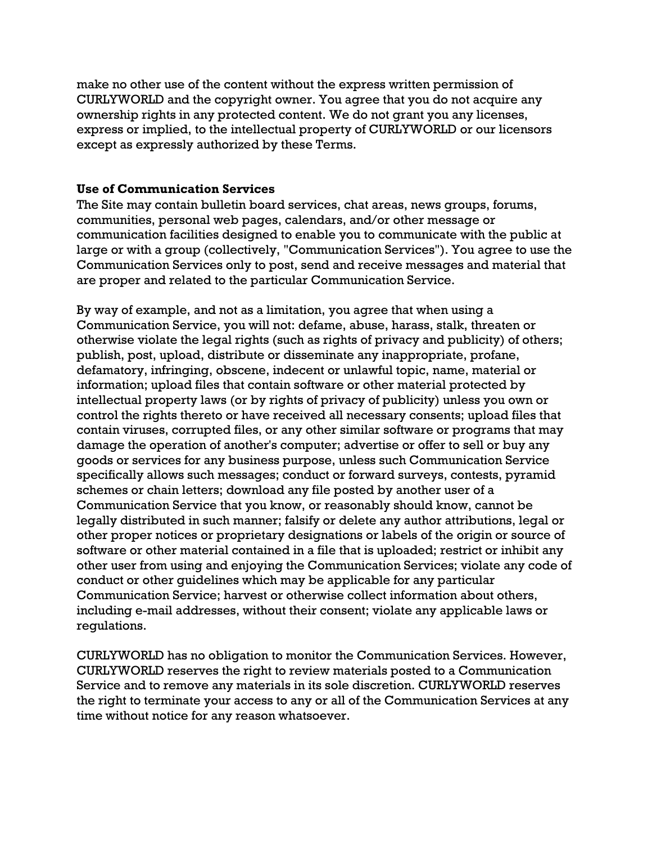make no other use of the content without the express written permission of CURLYWORLD and the copyright owner. You agree that you do not acquire any ownership rights in any protected content. We do not grant you any licenses, express or implied, to the intellectual property of CURLYWORLD or our licensors except as expressly authorized by these Terms.

### **Use of Communication Services**

The Site may contain bulletin board services, chat areas, news groups, forums, communities, personal web pages, calendars, and/or other message or communication facilities designed to enable you to communicate with the public at large or with a group (collectively, "Communication Services"). You agree to use the Communication Services only to post, send and receive messages and material that are proper and related to the particular Communication Service.

By way of example, and not as a limitation, you agree that when using a Communication Service, you will not: defame, abuse, harass, stalk, threaten or otherwise violate the legal rights (such as rights of privacy and publicity) of others; publish, post, upload, distribute or disseminate any inappropriate, profane, defamatory, infringing, obscene, indecent or unlawful topic, name, material or information; upload files that contain software or other material protected by intellectual property laws (or by rights of privacy of publicity) unless you own or control the rights thereto or have received all necessary consents; upload files that contain viruses, corrupted files, or any other similar software or programs that may damage the operation of another's computer; advertise or offer to sell or buy any goods or services for any business purpose, unless such Communication Service specifically allows such messages; conduct or forward surveys, contests, pyramid schemes or chain letters; download any file posted by another user of a Communication Service that you know, or reasonably should know, cannot be legally distributed in such manner; falsify or delete any author attributions, legal or other proper notices or proprietary designations or labels of the origin or source of software or other material contained in a file that is uploaded; restrict or inhibit any other user from using and enjoying the Communication Services; violate any code of conduct or other guidelines which may be applicable for any particular Communication Service; harvest or otherwise collect information about others, including e-mail addresses, without their consent; violate any applicable laws or regulations.

CURLYWORLD has no obligation to monitor the Communication Services. However, CURLYWORLD reserves the right to review materials posted to a Communication Service and to remove any materials in its sole discretion. CURLYWORLD reserves the right to terminate your access to any or all of the Communication Services at any time without notice for any reason whatsoever.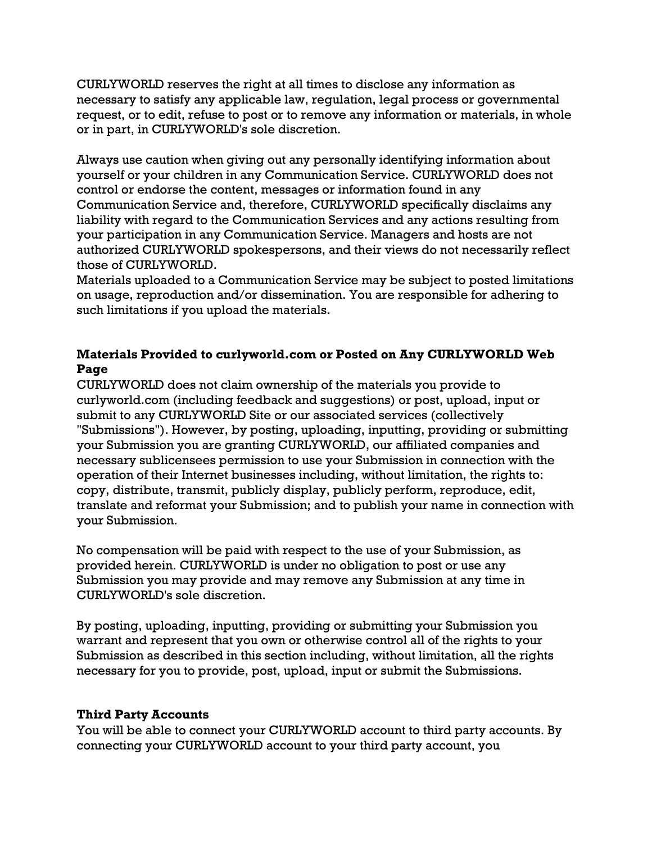CURLYWORLD reserves the right at all times to disclose any information as necessary to satisfy any applicable law, regulation, legal process or governmental request, or to edit, refuse to post or to remove any information or materials, in whole or in part, in CURLYWORLD's sole discretion.

Always use caution when giving out any personally identifying information about yourself or your children in any Communication Service. CURLYWORLD does not control or endorse the content, messages or information found in any Communication Service and, therefore, CURLYWORLD specifically disclaims any liability with regard to the Communication Services and any actions resulting from your participation in any Communication Service. Managers and hosts are not authorized CURLYWORLD spokespersons, and their views do not necessarily reflect those of CURLYWORLD.

Materials uploaded to a Communication Service may be subject to posted limitations on usage, reproduction and/or dissemination. You are responsible for adhering to such limitations if you upload the materials.

# **Materials Provided to curlyworld.com or Posted on Any CURLYWORLD Web Page**

CURLYWORLD does not claim ownership of the materials you provide to curlyworld.com (including feedback and suggestions) or post, upload, input or submit to any CURLYWORLD Site or our associated services (collectively "Submissions"). However, by posting, uploading, inputting, providing or submitting your Submission you are granting CURLYWORLD, our affiliated companies and necessary sublicensees permission to use your Submission in connection with the operation of their Internet businesses including, without limitation, the rights to: copy, distribute, transmit, publicly display, publicly perform, reproduce, edit, translate and reformat your Submission; and to publish your name in connection with your Submission.

No compensation will be paid with respect to the use of your Submission, as provided herein. CURLYWORLD is under no obligation to post or use any Submission you may provide and may remove any Submission at any time in CURLYWORLD's sole discretion.

By posting, uploading, inputting, providing or submitting your Submission you warrant and represent that you own or otherwise control all of the rights to your Submission as described in this section including, without limitation, all the rights necessary for you to provide, post, upload, input or submit the Submissions.

## **Third Party Accounts**

You will be able to connect your CURLYWORLD account to third party accounts. By connecting your CURLYWORLD account to your third party account, you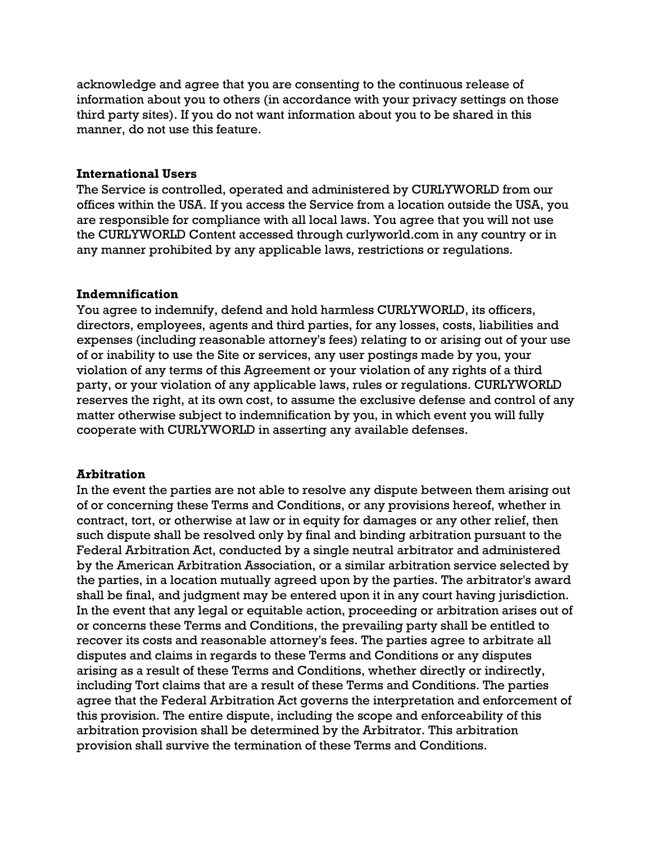acknowledge and agree that you are consenting to the continuous release of information about you to others (in accordance with your privacy settings on those third party sites). If you do not want information about you to be shared in this manner, do not use this feature.

### **International Users**

The Service is controlled, operated and administered by CURLYWORLD from our offices within the USA. If you access the Service from a location outside the USA, you are responsible for compliance with all local laws. You agree that you will not use the CURLYWORLD Content accessed through curlyworld.com in any country or in any manner prohibited by any applicable laws, restrictions or regulations.

### **Indemnification**

You agree to indemnify, defend and hold harmless CURLYWORLD, its officers, directors, employees, agents and third parties, for any losses, costs, liabilities and expenses (including reasonable attorney's fees) relating to or arising out of your use of or inability to use the Site or services, any user postings made by you, your violation of any terms of this Agreement or your violation of any rights of a third party, or your violation of any applicable laws, rules or regulations. CURLYWORLD reserves the right, at its own cost, to assume the exclusive defense and control of any matter otherwise subject to indemnification by you, in which event you will fully cooperate with CURLYWORLD in asserting any available defenses.

## **Arbitration**

In the event the parties are not able to resolve any dispute between them arising out of or concerning these Terms and Conditions, or any provisions hereof, whether in contract, tort, or otherwise at law or in equity for damages or any other relief, then such dispute shall be resolved only by final and binding arbitration pursuant to the Federal Arbitration Act, conducted by a single neutral arbitrator and administered by the American Arbitration Association, or a similar arbitration service selected by the parties, in a location mutually agreed upon by the parties. The arbitrator's award shall be final, and judgment may be entered upon it in any court having jurisdiction. In the event that any legal or equitable action, proceeding or arbitration arises out of or concerns these Terms and Conditions, the prevailing party shall be entitled to recover its costs and reasonable attorney's fees. The parties agree to arbitrate all disputes and claims in regards to these Terms and Conditions or any disputes arising as a result of these Terms and Conditions, whether directly or indirectly, including Tort claims that are a result of these Terms and Conditions. The parties agree that the Federal Arbitration Act governs the interpretation and enforcement of this provision. The entire dispute, including the scope and enforceability of this arbitration provision shall be determined by the Arbitrator. This arbitration provision shall survive the termination of these Terms and Conditions.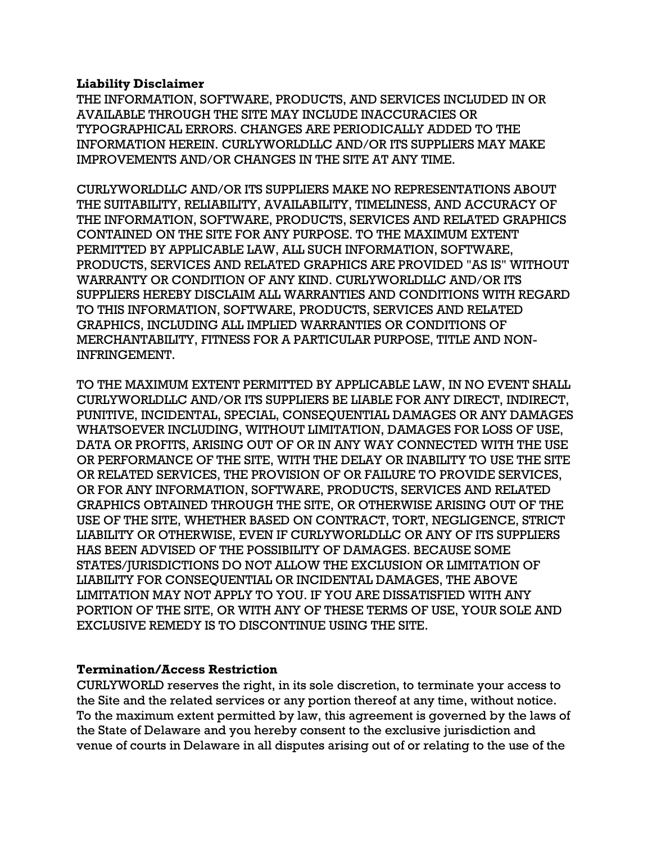#### **Liability Disclaimer**

THE INFORMATION, SOFTWARE, PRODUCTS, AND SERVICES INCLUDED IN OR AVAILABLE THROUGH THE SITE MAY INCLUDE INACCURACIES OR TYPOGRAPHICAL ERRORS. CHANGES ARE PERIODICALLY ADDED TO THE INFORMATION HEREIN. CURLYWORLDLLC AND/OR ITS SUPPLIERS MAY MAKE IMPROVEMENTS AND/OR CHANGES IN THE SITE AT ANY TIME.

CURLYWORLDLLC AND/OR ITS SUPPLIERS MAKE NO REPRESENTATIONS ABOUT THE SUITABILITY, RELIABILITY, AVAILABILITY, TIMELINESS, AND ACCURACY OF THE INFORMATION, SOFTWARE, PRODUCTS, SERVICES AND RELATED GRAPHICS CONTAINED ON THE SITE FOR ANY PURPOSE. TO THE MAXIMUM EXTENT PERMITTED BY APPLICABLE LAW, ALL SUCH INFORMATION, SOFTWARE, PRODUCTS, SERVICES AND RELATED GRAPHICS ARE PROVIDED "AS IS" WITHOUT WARRANTY OR CONDITION OF ANY KIND. CURLYWORLDLLC AND/OR ITS SUPPLIERS HEREBY DISCLAIM ALL WARRANTIES AND CONDITIONS WITH REGARD TO THIS INFORMATION, SOFTWARE, PRODUCTS, SERVICES AND RELATED GRAPHICS, INCLUDING ALL IMPLIED WARRANTIES OR CONDITIONS OF MERCHANTABILITY, FITNESS FOR A PARTICULAR PURPOSE, TITLE AND NON-INFRINGEMENT.

TO THE MAXIMUM EXTENT PERMITTED BY APPLICABLE LAW, IN NO EVENT SHALL CURLYWORLDLLC AND/OR ITS SUPPLIERS BE LIABLE FOR ANY DIRECT, INDIRECT, PUNITIVE, INCIDENTAL, SPECIAL, CONSEQUENTIAL DAMAGES OR ANY DAMAGES WHATSOEVER INCLUDING, WITHOUT LIMITATION, DAMAGES FOR LOSS OF USE, DATA OR PROFITS, ARISING OUT OF OR IN ANY WAY CONNECTED WITH THE USE OR PERFORMANCE OF THE SITE, WITH THE DELAY OR INABILITY TO USE THE SITE OR RELATED SERVICES, THE PROVISION OF OR FAILURE TO PROVIDE SERVICES, OR FOR ANY INFORMATION, SOFTWARE, PRODUCTS, SERVICES AND RELATED GRAPHICS OBTAINED THROUGH THE SITE, OR OTHERWISE ARISING OUT OF THE USE OF THE SITE, WHETHER BASED ON CONTRACT, TORT, NEGLIGENCE, STRICT LIABILITY OR OTHERWISE, EVEN IF CURLYWORLDLLC OR ANY OF ITS SUPPLIERS HAS BEEN ADVISED OF THE POSSIBILITY OF DAMAGES. BECAUSE SOME STATES/JURISDICTIONS DO NOT ALLOW THE EXCLUSION OR LIMITATION OF LIABILITY FOR CONSEQUENTIAL OR INCIDENTAL DAMAGES, THE ABOVE LIMITATION MAY NOT APPLY TO YOU. IF YOU ARE DISSATISFIED WITH ANY PORTION OF THE SITE, OR WITH ANY OF THESE TERMS OF USE, YOUR SOLE AND EXCLUSIVE REMEDY IS TO DISCONTINUE USING THE SITE.

#### **Termination/Access Restriction**

CURLYWORLD reserves the right, in its sole discretion, to terminate your access to the Site and the related services or any portion thereof at any time, without notice. To the maximum extent permitted by law, this agreement is governed by the laws of the State of Delaware and you hereby consent to the exclusive jurisdiction and venue of courts in Delaware in all disputes arising out of or relating to the use of the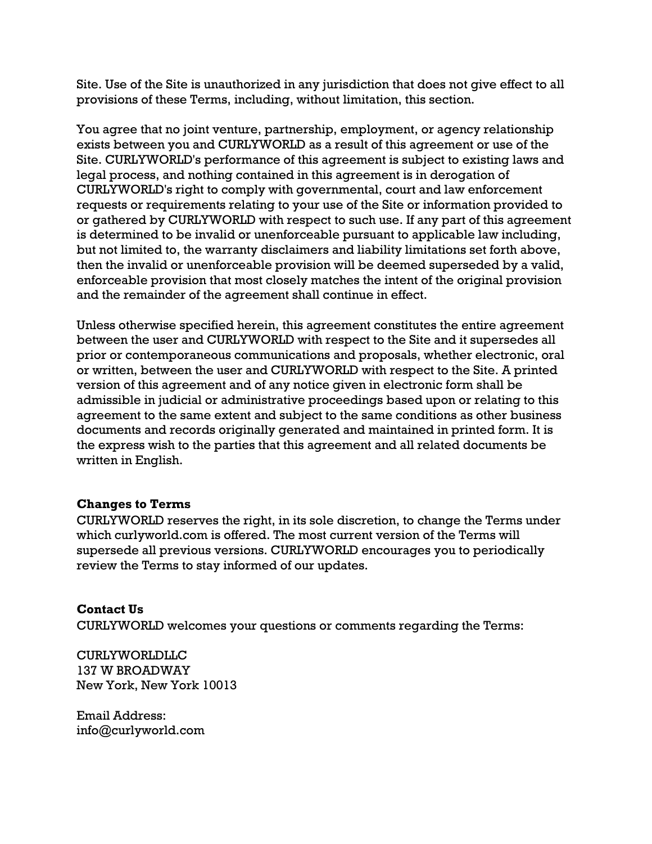Site. Use of the Site is unauthorized in any jurisdiction that does not give effect to all provisions of these Terms, including, without limitation, this section.

You agree that no joint venture, partnership, employment, or agency relationship exists between you and CURLYWORLD as a result of this agreement or use of the Site. CURLYWORLD's performance of this agreement is subject to existing laws and legal process, and nothing contained in this agreement is in derogation of CURLYWORLD's right to comply with governmental, court and law enforcement requests or requirements relating to your use of the Site or information provided to or gathered by CURLYWORLD with respect to such use. If any part of this agreement is determined to be invalid or unenforceable pursuant to applicable law including, but not limited to, the warranty disclaimers and liability limitations set forth above, then the invalid or unenforceable provision will be deemed superseded by a valid, enforceable provision that most closely matches the intent of the original provision and the remainder of the agreement shall continue in effect.

Unless otherwise specified herein, this agreement constitutes the entire agreement between the user and CURLYWORLD with respect to the Site and it supersedes all prior or contemporaneous communications and proposals, whether electronic, oral or written, between the user and CURLYWORLD with respect to the Site. A printed version of this agreement and of any notice given in electronic form shall be admissible in judicial or administrative proceedings based upon or relating to this agreement to the same extent and subject to the same conditions as other business documents and records originally generated and maintained in printed form. It is the express wish to the parties that this agreement and all related documents be written in English.

#### **Changes to Terms**

CURLYWORLD reserves the right, in its sole discretion, to change the Terms under which curlyworld.com is offered. The most current version of the Terms will supersede all previous versions. CURLYWORLD encourages you to periodically review the Terms to stay informed of our updates.

## **Contact Us**

CURLYWORLD welcomes your questions or comments regarding the Terms:

CURLYWORLDLLC 137 W BROADWAY New York, New York 10013

Email Address: info@curlyworld.com